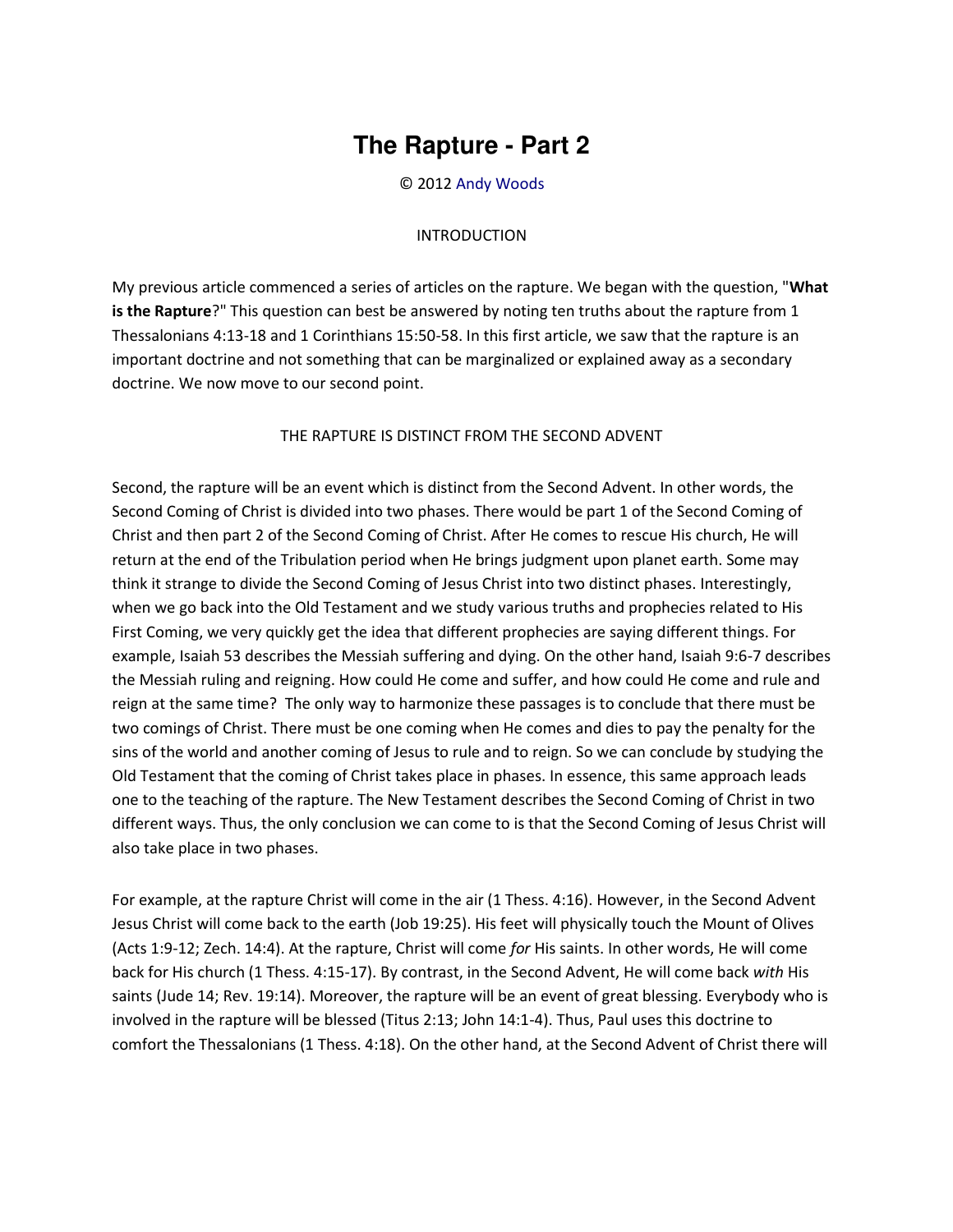## **The Rapture - Part 2**

© 2012 [Andy Woods](http://www.spiritandtruth.org/id/aw.htm)

## INTRODUCTION

My previous article commenced a series of articles on the rapture. We began with the question, "**What is the Rapture**?" This question can best be answered by noting ten truths about the rapture from 1 Thessalonians 4:13-18 and 1 Corinthians 15:50-58. In this first article, we saw that the rapture is an important doctrine and not something that can be marginalized or explained away as a secondary doctrine. We now move to our second point.

## THE RAPTURE IS DISTINCT FROM THE SECOND ADVENT

Second, the rapture will be an event which is distinct from the Second Advent. In other words, the Second Coming of Christ is divided into two phases. There would be part 1 of the Second Coming of Christ and then part 2 of the Second Coming of Christ. After He comes to rescue His church, He will return at the end of the Tribulation period when He brings judgment upon planet earth. Some may think it strange to divide the Second Coming of Jesus Christ into two distinct phases. Interestingly, when we go back into the Old Testament and we study various truths and prophecies related to His First Coming, we very quickly get the idea that different prophecies are saying different things. For example, Isaiah 53 describes the Messiah suffering and dying. On the other hand, Isaiah 9:6-7 describes the Messiah ruling and reigning. How could He come and suffer, and how could He come and rule and reign at the same time? The only way to harmonize these passages is to conclude that there must be two comings of Christ. There must be one coming when He comes and dies to pay the penalty for the sins of the world and another coming of Jesus to rule and to reign. So we can conclude by studying the Old Testament that the coming of Christ takes place in phases. In essence, this same approach leads one to the teaching of the rapture. The New Testament describes the Second Coming of Christ in two different ways. Thus, the only conclusion we can come to is that the Second Coming of Jesus Christ will also take place in two phases.

For example, at the rapture Christ will come in the air (1 Thess. 4:16). However, in the Second Advent Jesus Christ will come back to the earth (Job 19:25). His feet will physically touch the Mount of Olives (Acts 1:9-12; Zech. 14:4). At the rapture, Christ will come *for* His saints. In other words, He will come back for His church (1 Thess. 4:15-17). By contrast, in the Second Advent, He will come back *with* His saints (Jude 14; Rev. 19:14). Moreover, the rapture will be an event of great blessing. Everybody who is involved in the rapture will be blessed (Titus 2:13; John 14:1-4). Thus, Paul uses this doctrine to comfort the Thessalonians (1 Thess. 4:18). On the other hand, at the Second Advent of Christ there will